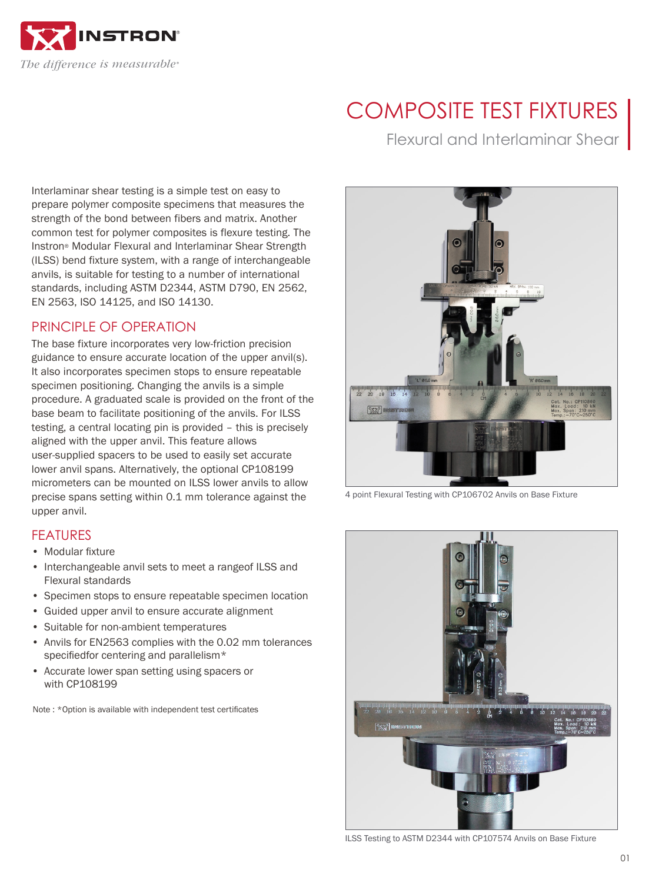

# COMPOSITE TEST FIXTURES

Flexural and Interlaminar Shear

Interlaminar shear testing is a simple test on easy to prepare polymer composite specimens that measures the strength of the bond between fibers and matrix. Another common test for polymer composites is flexure testing. The Instron® Modular Flexural and Interlaminar Shear Strength (ILSS) bend fixture system, with a range of interchangeable anvils, is suitable for testing to a number of international standards, including ASTM D2344, ASTM D790, EN 2562, EN 2563, ISO 14125, and ISO 14130.

### PRINCIPLE OF OPERATION

The base fixture incorporates very low-friction precision guidance to ensure accurate location of the upper anvil(s). It also incorporates specimen stops to ensure repeatable specimen positioning. Changing the anvils is a simple procedure. A graduated scale is provided on the front of the base beam to facilitate positioning of the anvils. For ILSS testing, a central locating pin is provided – this is precisely aligned with the upper anvil. This feature allows user-supplied spacers to be used to easily set accurate lower anvil spans. Alternatively, the optional CP108199 micrometers can be mounted on ILSS lower anvils to allow precise spans setting within 0.1 mm tolerance against the upper anvil.

#### FEATURES

- Modular fixture
- Interchangeable anvil sets to meet a rangeof ILSS and Flexural standards
- Specimen stops to ensure repeatable specimen location
- Guided upper anvil to ensure accurate alignment
- Suitable for non-ambient temperatures
- Anvils for EN2563 complies with the 0.02 mm tolerances specifiedfor centering and parallelism\*
- Accurate lower span setting using spacers or with CP108199

Note : \*Option is available with independent test certificates



4 point Flexural Testing with CP106702 Anvils on Base Fixture



ILSS Testing to ASTM D2344 with CP107574 Anvils on Base Fixture